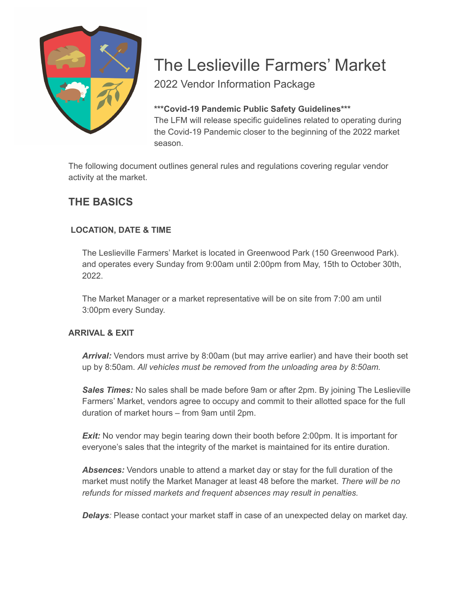

# The Leslieville Farmers' Market

2022 Vendor Information Package

**\*\*\*Covid-19 Pandemic Public Safety Guidelines\*\*\*** The LFM will release specific guidelines related to operating during the Covid-19 Pandemic closer to the beginning of the 2022 market season.

The following document outlines general rules and regulations covering regular vendor activity at the market.

# **THE BASICS**

# **LOCATION, DATE & TIME**

The Leslieville Farmers' Market is located in Greenwood Park (150 Greenwood Park). and operates every Sunday from 9:00am until 2:00pm from May, 15th to October 30th, 2022.

The Market Manager or a market representative will be on site from 7:00 am until 3:00pm every Sunday.

# **ARRIVAL & EXIT**

*Arrival:* Vendors must arrive by 8:00am (but may arrive earlier) and have their booth set up by 8:50am. *All vehicles must be removed from the unloading area by 8:50am.*

*Sales Times:* No sales shall be made before 9am or after 2pm. By joining The Leslieville Farmers' Market, vendors agree to occupy and commit to their allotted space for the full duration of market hours – from 9am until 2pm.

**Exit:** No vendor may begin tearing down their booth before 2:00pm. It is important for everyone's sales that the integrity of the market is maintained for its entire duration.

*Absences:* Vendors unable to attend a market day or stay for the full duration of the market must notify the Market Manager at least 48 before the market. *There will be no refunds for missed markets and frequent absences may result in penalties.*

*Delays:* Please contact your market staff in case of an unexpected delay on market day.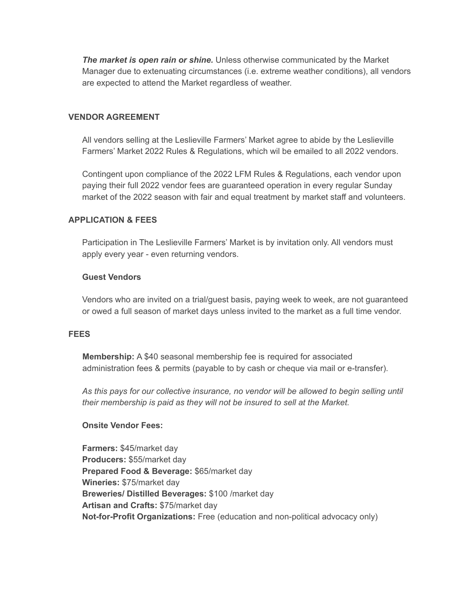*The market is open rain or shine.* Unless otherwise communicated by the Market Manager due to extenuating circumstances (i.e. extreme weather conditions), all vendors are expected to attend the Market regardless of weather.

#### **VENDOR AGREEMENT**

All vendors selling at the Leslieville Farmers' Market agree to abide by the Leslieville Farmers' Market 2022 Rules & Regulations, which wil be emailed to all 2022 vendors.

Contingent upon compliance of the 2022 LFM Rules & Regulations, each vendor upon paying their full 2022 vendor fees are guaranteed operation in every regular Sunday market of the 2022 season with fair and equal treatment by market staff and volunteers.

### **APPLICATION & FEES**

Participation in The Leslieville Farmers' Market is by invitation only. All vendors must apply every year - even returning vendors.

### **Guest Vendors**

Vendors who are invited on a trial/guest basis, paying week to week, are not guaranteed or owed a full season of market days unless invited to the market as a full time vendor.

#### **FEES**

**Membership:** A \$40 seasonal membership fee is required for associated administration fees & permits (payable to by cash or cheque via mail or e-transfer).

*As this pays for our collective insurance, no vendor will be allowed to begin selling until their membership is paid as they will not be insured to sell at the Market.*

### **Onsite Vendor Fees:**

**Farmers:** \$45/market day **Producers:** \$55/market day **Prepared Food & Beverage:** \$65/market day **Wineries:** \$75/market day **Breweries/ Distilled Beverages:** \$100 /market day **Artisan and Crafts:** \$75/market day **Not-for-Profit Organizations:** Free (education and non-political advocacy only)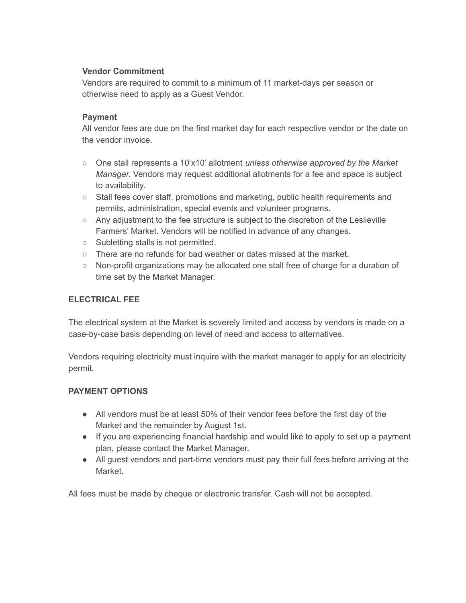### **Vendor Commitment**

Vendors are required to commit to a minimum of 11 market-days per season or otherwise need to apply as a Guest Vendor.

### **Payment**

All vendor fees are due on the first market day for each respective vendor or the date on the vendor invoice.

- One stall represents a 10'x10' allotment *unless otherwise approved by the Market Manager.* Vendors may request additional allotments for a fee and space is subject to availability.
- Stall fees cover staff, promotions and marketing, public health requirements and permits, administration, special events and volunteer programs.
- Any adjustment to the fee structure is subject to the discretion of the Leslieville Farmers' Market. Vendors will be notified in advance of any changes.
- Subletting stalls is not permitted.
- $\circ$  There are no refunds for bad weather or dates missed at the market.
- Non-profit organizations may be allocated one stall free of charge for a duration of time set by the Market Manager.

### **ELECTRICAL FEE**

The electrical system at the Market is severely limited and access by vendors is made on a case-by-case basis depending on level of need and access to alternatives.

Vendors requiring electricity must inquire with the market manager to apply for an electricity permit.

### **PAYMENT OPTIONS**

- All vendors must be at least 50% of their vendor fees before the first day of the Market and the remainder by August 1st.
- If you are experiencing financial hardship and would like to apply to set up a payment plan, please contact the Market Manager.
- All guest vendors and part-time vendors must pay their full fees before arriving at the Market.

All fees must be made by cheque or electronic transfer. Cash will not be accepted.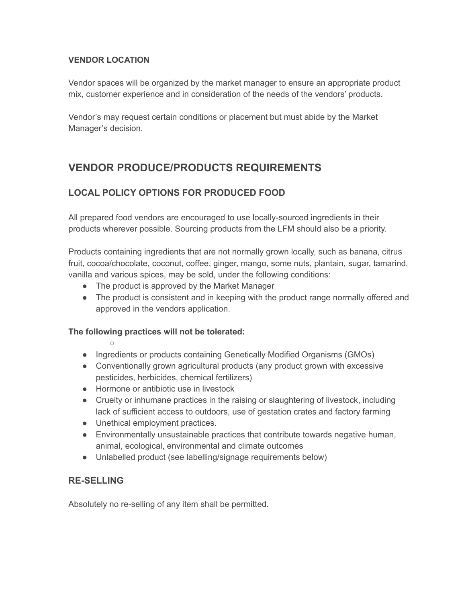### **VENDOR LOCATION**

Vendor spaces will be organized by the market manager to ensure an appropriate product mix, customer experience and in consideration of the needs of the vendors' products.

Vendor's may request certain conditions or placement but must abide by the Market Manager's decision.

# **VENDOR PRODUCE/PRODUCTS REQUIREMENTS**

# **LOCAL POLICY OPTIONS FOR PRODUCED FOOD**

All prepared food vendors are encouraged to use locally-sourced ingredients in their products wherever possible. Sourcing products from the LFM should also be a priority.

Products containing ingredients that are not normally grown locally, such as banana, citrus fruit, cocoa/chocolate, coconut, coffee, ginger, mango, some nuts, plantain, sugar, tamarind, vanilla and various spices, may be sold, under the following conditions:

- The product is approved by the Market Manager
- The product is consistent and in keeping with the product range normally offered and approved in the vendors application.

### **The following practices will not be tolerated:**

- **○** ● Ingredients or products containing Genetically Modified Organisms (GMOs)
- Conventionally grown agricultural products (any product grown with excessive pesticides, herbicides, chemical fertilizers)
- Hormone or antibiotic use in livestock
- Cruelty or inhumane practices in the raising or slaughtering of livestock, including lack of sufficient access to outdoors, use of gestation crates and factory farming
- Unethical employment practices.
- Environmentally unsustainable practices that contribute towards negative human, animal, ecological, environmental and climate outcomes
- Unlabelled product (see labelling/signage requirements below)

# **RE-SELLING**

Absolutely no re-selling of any item shall be permitted.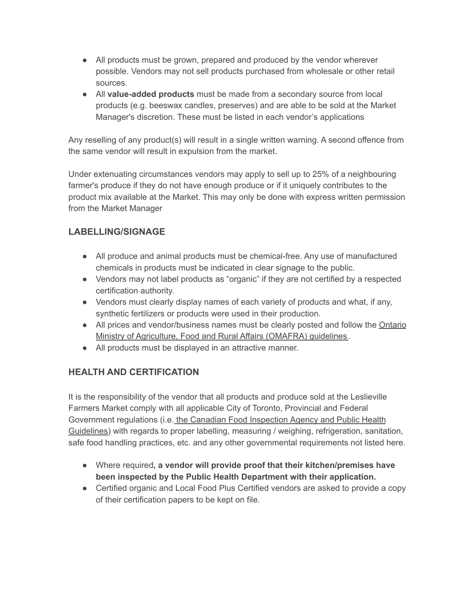- All products must be grown, prepared and produced by the vendor wherever possible. Vendors may not sell products purchased from wholesale or other retail sources.
- All **value-added products** must be made from a secondary source from local products (e.g. beeswax candles, preserves) and are able to be sold at the Market Manager's discretion. These must be listed in each vendor's applications

Any reselling of any product(s) will result in a single written warning. A second offence from the same vendor will result in expulsion from the market.

Under extenuating circumstances vendors may apply to sell up to 25% of a neighbouring farmer's produce if they do not have enough produce or if it uniquely contributes to the product mix available at the Market. This may only be done with express written permission from the Market Manager

# **LABELLING/SIGNAGE**

- All produce and animal products must be chemical-free. Any use of manufactured chemicals in products must be indicated in clear signage to the public.
- Vendors may not label products as "organic" if they are not certified by a respected certification authority.
- Vendors must clearly display names of each variety of products and what, if any, synthetic fertilizers or products were used in their production.
- All prices and vendor/business names must be clearly posted and follow the Ontario Ministry of Agriculture, Food and Rural Affairs (OMAFRA) guidelines.
- All products must be displayed in an attractive manner.

# **HEALTH AND CERTIFICATION**

It is the responsibility of the vendor that all products and produce sold at the Leslieville Farmers Market comply with all applicable City of Toronto, Provincial and Federal Government regulations (i.e. the Canadian Food Inspection Agency and Public Health Guidelines) with regards to proper labelling, measuring / weighing, refrigeration, sanitation, safe food handling practices, etc. and any other governmental requirements not listed here.

- Where required**, a vendor will provide proof that their kitchen/premises have been inspected by the Public Health Department with their application.**
- Certified organic and Local Food Plus Certified vendors are asked to provide a copy of their certification papers to be kept on file.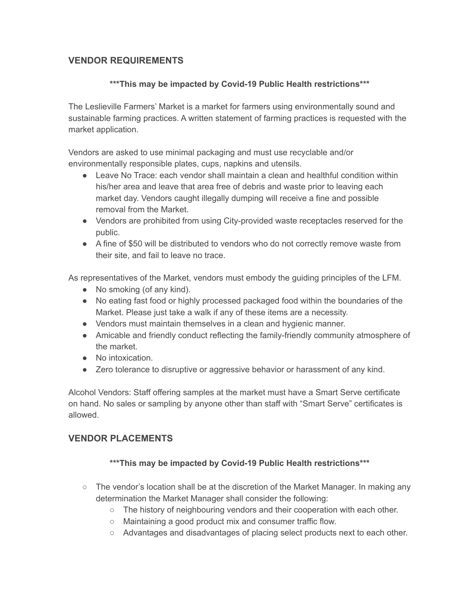# **VENDOR REQUIREMENTS**

### **\*\*\*This may be impacted by Covid-19 Public Health restrictions\*\*\***

The Leslieville Farmers' Market is a market for farmers using environmentally sound and sustainable farming practices. A written statement of farming practices is requested with the market application.

Vendors are asked to use minimal packaging and must use recyclable and/or environmentally responsible plates, cups, napkins and utensils.

- Leave No Trace: each vendor shall maintain a clean and healthful condition within his/her area and leave that area free of debris and waste prior to leaving each market day. Vendors caught illegally dumping will receive a fine and possible removal from the Market.
- Vendors are prohibited from using City-provided waste receptacles reserved for the public.
- A fine of \$50 will be distributed to vendors who do not correctly remove waste from their site, and fail to leave no trace.

As representatives of the Market, vendors must embody the guiding principles of the LFM.

- No smoking (of any kind).
- No eating fast food or highly processed packaged food within the boundaries of the Market. Please just take a walk if any of these items are a necessity.
- Vendors must maintain themselves in a clean and hygienic manner.
- Amicable and friendly conduct reflecting the family-friendly community atmosphere of the market.
- No intoxication.
- Zero tolerance to disruptive or aggressive behavior or harassment of any kind.

Alcohol Vendors: Staff offering samples at the market must have a Smart Serve certificate on hand. No sales or sampling by anyone other than staff with "Smart Serve" certificates is allowed.

# **VENDOR PLACEMENTS**

# **\*\*\*This may be impacted by Covid-19 Public Health restrictions\*\*\***

- $\circ$  The vendor's location shall be at the discretion of the Market Manager. In making any determination the Market Manager shall consider the following:
	- $\circ$  The history of neighbouring vendors and their cooperation with each other.
	- Maintaining a good product mix and consumer traffic flow.
	- Advantages and disadvantages of placing select products next to each other.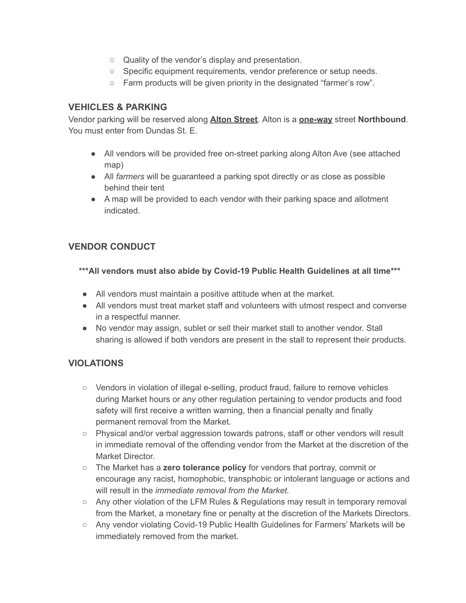- Quality of the vendor's display and presentation.
- Specific equipment requirements, vendor preference or setup needs.
- Farm products will be given priority in the designated "farmer's row".

### **VEHICLES & PARKING**

Vendor parking will be reserved along **Alton Street**. Alton is a **one-way** street **Northbound**. You must enter from Dundas St. E.

- All vendors will be provided free on-street parking along Alton Ave (see attached map)
- All *farmers* will be guaranteed a parking spot directly *or* as close as possible behind their tent
- A map will be provided to each vendor with their parking space and allotment indicated.

# **VENDOR CONDUCT**

**\*\*\*All vendors must also abide by Covid-19 Public Health Guidelines at all time\*\*\***

- All vendors must maintain a positive attitude when at the market.
- All vendors must treat market staff and volunteers with utmost respect and converse in a respectful manner.
- No vendor may assign, sublet or sell their market stall to another vendor. Stall sharing is allowed if both vendors are present in the stall to represent their products.

# **VIOLATIONS**

- Vendors in violation of illegal e-selling, product fraud, failure to remove vehicles during Market hours or any other regulation pertaining to vendor products and food safety will first receive a written warning, then a financial penalty and finally permanent removal from the Market.
- Physical and/or verbal aggression towards patrons, staff or other vendors will result in immediate removal of the offending vendor from the Market at the discretion of the Market Director.
- The Market has a **zero tolerance policy** for vendors that portray, commit or encourage any racist, homophobic, transphobic or intolerant language or actions and will result in the *immediate removal from the Market.*
- Any other violation of the LFM Rules & Regulations may result in temporary removal from the Market, a monetary fine or penalty at the discretion of the Markets Directors.
- Any vendor violating Covid-19 Public Health Guidelines for Farmers' Markets will be immediately removed from the market.